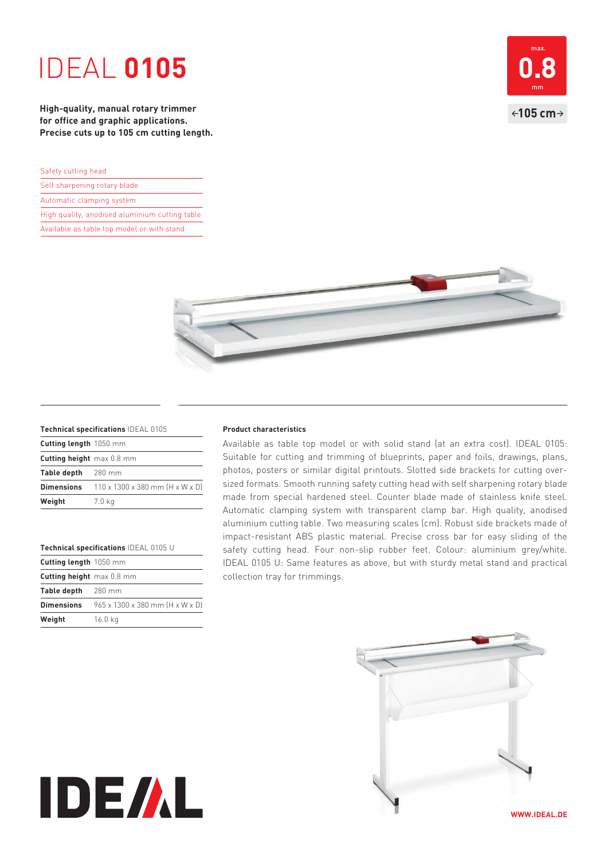# IDEAL **0105**

**High-quality, manual rotary trimmer for office and graphic applications. Precise cuts up to 105 cm cutting length.** 

| Safety cutting head |  |
|---------------------|--|
|                     |  |

- Self sharpening rotary blade
- Automatic clamping system
- High quality, anodised aluminium cutting table
- Available as table top model or with stand





### **Technical specifications** IDEAL 0105

| Cutting length 1050 mm                                                    |
|---------------------------------------------------------------------------|
| Cutting height max 0.8 mm                                                 |
| Table depth 280 mm                                                        |
| <b>Dimensions</b> $110 \times 1300 \times 380$ mm $(H \times W \times D)$ |
| 7.0 kg                                                                    |
|                                                                           |

#### **Technical specifications** IDEAL 0105 U

| Cutting length $1050$ mm                                                  |
|---------------------------------------------------------------------------|
| Cutting height max 0.8 mm                                                 |
| Table depth 280 mm                                                        |
| <b>Dimensions</b> $965 \times 1300 \times 380$ mm $(H \times W \times D)$ |
| 16.0 kg                                                                   |
|                                                                           |

**IDE/AL** 

### **Product characteristics**

Available as table top model or with solid stand (at an extra cost). IDEAL 0105: Suitable for cutting and trimming of blueprints, paper and foils, drawings, plans, photos, posters or similar digital printouts. Slotted side brackets for cutting oversized formats. Smooth running safety cutting head with self sharpening rotary blade made from special hardened steel. Counter blade made of stainless knife steel. Automatic clamping system with transparent clamp bar. High quality, anodised aluminium cutting table. Two measuring scales (cm). Robust side brackets made of impact-resistant ABS plastic material. Precise cross bar for easy sliding of the safety cutting head. Four non-slip rubber feet. Colour: aluminium grey/white. IDEAL 0105 U: Same features as above, but with sturdy metal stand and practical collection tray for trimmings.